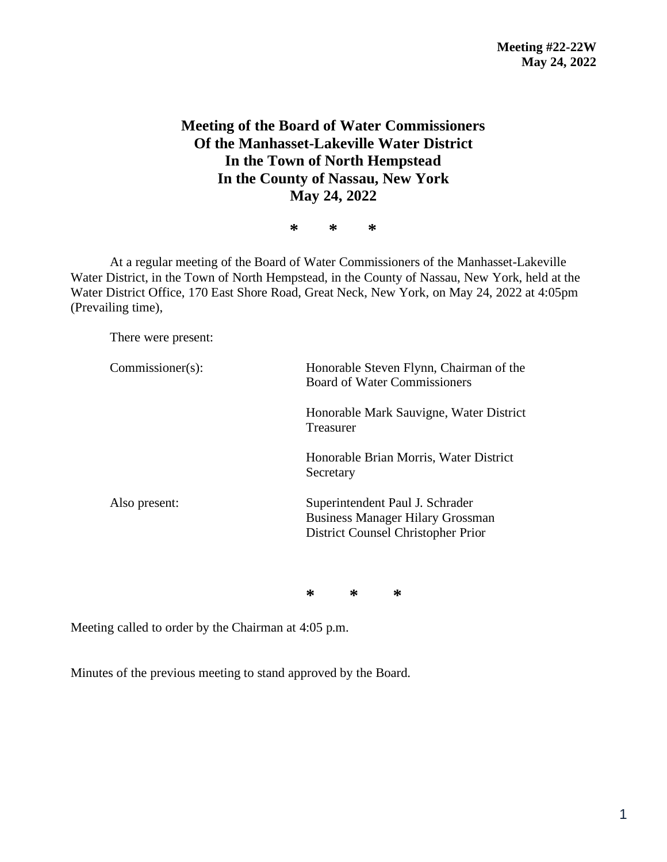## **Meeting of the Board of Water Commissioners Of the Manhasset-Lakeville Water District In the Town of North Hempstead In the County of Nassau, New York May 24, 2022**

**\* \* \***

At a regular meeting of the Board of Water Commissioners of the Manhasset-Lakeville Water District, in the Town of North Hempstead, in the County of Nassau, New York, held at the Water District Office, 170 East Shore Road, Great Neck, New York, on May 24, 2022 at 4:05pm (Prevailing time),

There were present:

| $Commissioner(s)$ : | Honorable Steven Flynn, Chairman of the<br><b>Board of Water Commissioners</b>                                   |  |  |
|---------------------|------------------------------------------------------------------------------------------------------------------|--|--|
|                     | Honorable Mark Sauvigne, Water District<br>Treasurer                                                             |  |  |
|                     | Honorable Brian Morris, Water District<br>Secretary                                                              |  |  |
| Also present:       | Superintendent Paul J. Schrader<br><b>Business Manager Hilary Grossman</b><br>District Counsel Christopher Prior |  |  |

**\* \* \***

Meeting called to order by the Chairman at 4:05 p.m.

Minutes of the previous meeting to stand approved by the Board.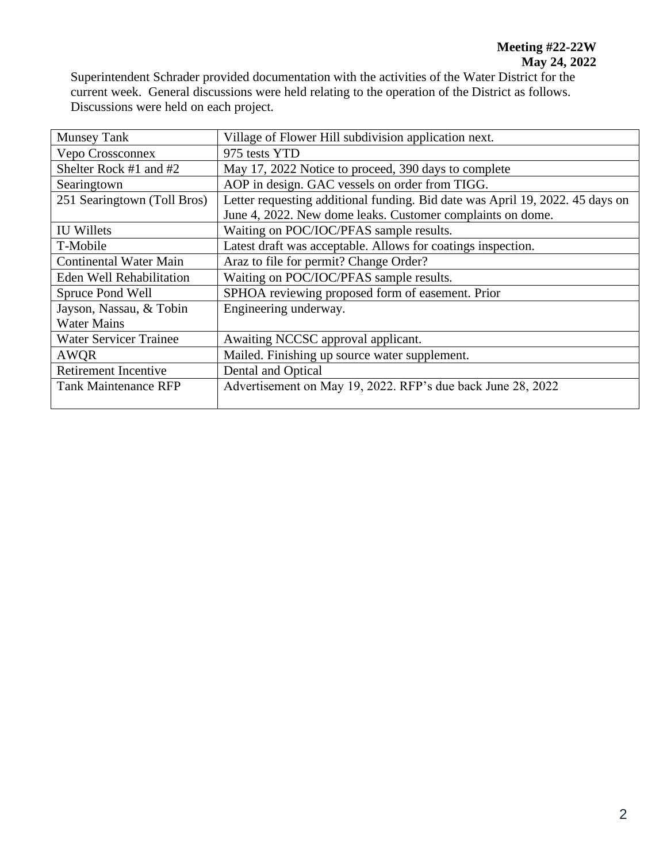Superintendent Schrader provided documentation with the activities of the Water District for the current week. General discussions were held relating to the operation of the District as follows. Discussions were held on each project.

| <b>Munsey Tank</b>            | Village of Flower Hill subdivision application next.                          |  |  |
|-------------------------------|-------------------------------------------------------------------------------|--|--|
| Vepo Crossconnex              | 975 tests YTD                                                                 |  |  |
| Shelter Rock #1 and #2        | May 17, 2022 Notice to proceed, 390 days to complete                          |  |  |
| Searingtown                   | AOP in design. GAC vessels on order from TIGG.                                |  |  |
| 251 Searingtown (Toll Bros)   | Letter requesting additional funding. Bid date was April 19, 2022. 45 days on |  |  |
|                               | June 4, 2022. New dome leaks. Customer complaints on dome.                    |  |  |
| <b>IU Willets</b>             | Waiting on POC/IOC/PFAS sample results.                                       |  |  |
| T-Mobile                      | Latest draft was acceptable. Allows for coatings inspection.                  |  |  |
| <b>Continental Water Main</b> | Araz to file for permit? Change Order?                                        |  |  |
| Eden Well Rehabilitation      | Waiting on POC/IOC/PFAS sample results.                                       |  |  |
| Spruce Pond Well              | SPHOA reviewing proposed form of easement. Prior                              |  |  |
| Jayson, Nassau, & Tobin       | Engineering underway.                                                         |  |  |
| <b>Water Mains</b>            |                                                                               |  |  |
| <b>Water Servicer Trainee</b> | Awaiting NCCSC approval applicant.                                            |  |  |
| <b>AWOR</b>                   | Mailed. Finishing up source water supplement.                                 |  |  |
| Retirement Incentive          | Dental and Optical                                                            |  |  |
| <b>Tank Maintenance RFP</b>   | Advertisement on May 19, 2022. RFP's due back June 28, 2022                   |  |  |
|                               |                                                                               |  |  |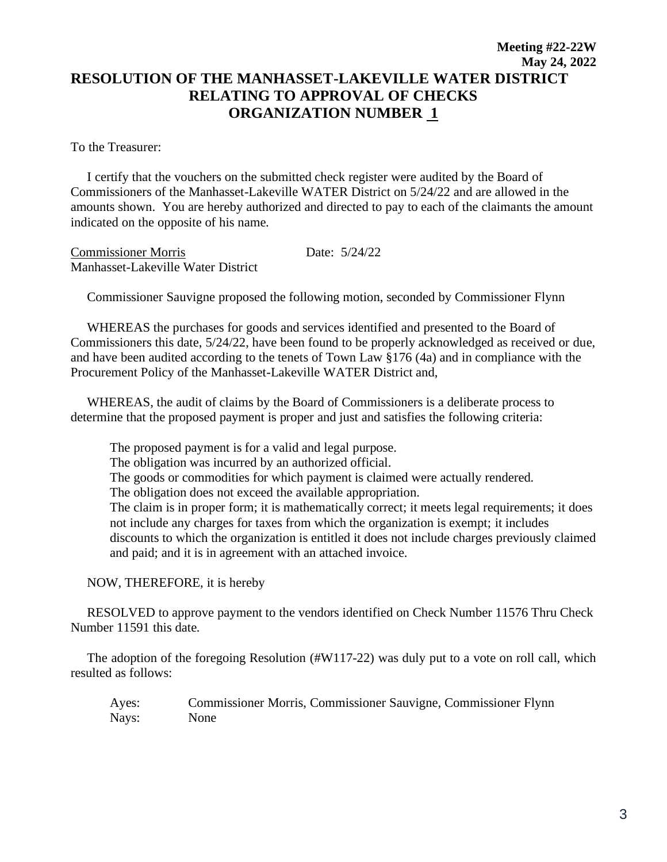## **Meeting #22-22W May 24, 2022 RESOLUTION OF THE MANHASSET-LAKEVILLE WATER DISTRICT RELATING TO APPROVAL OF CHECKS ORGANIZATION NUMBER 1**

To the Treasurer:

 I certify that the vouchers on the submitted check register were audited by the Board of Commissioners of the Manhasset-Lakeville WATER District on 5/24/22 and are allowed in the amounts shown. You are hereby authorized and directed to pay to each of the claimants the amount indicated on the opposite of his name.

Commissioner Morris Date: 5/24/22 Manhasset-Lakeville Water District

Commissioner Sauvigne proposed the following motion, seconded by Commissioner Flynn

 WHEREAS the purchases for goods and services identified and presented to the Board of Commissioners this date, 5/24/22, have been found to be properly acknowledged as received or due, and have been audited according to the tenets of Town Law §176 (4a) and in compliance with the Procurement Policy of the Manhasset-Lakeville WATER District and,

 WHEREAS, the audit of claims by the Board of Commissioners is a deliberate process to determine that the proposed payment is proper and just and satisfies the following criteria:

The proposed payment is for a valid and legal purpose. The obligation was incurred by an authorized official. The goods or commodities for which payment is claimed were actually rendered. The obligation does not exceed the available appropriation. The claim is in proper form; it is mathematically correct; it meets legal requirements; it does not include any charges for taxes from which the organization is exempt; it includes discounts to which the organization is entitled it does not include charges previously claimed and paid; and it is in agreement with an attached invoice.

NOW, THEREFORE, it is hereby

 RESOLVED to approve payment to the vendors identified on Check Number 11576 Thru Check Number 11591 this date.

 The adoption of the foregoing Resolution (#W117-22) was duly put to a vote on roll call, which resulted as follows:

Ayes: Commissioner Morris, Commissioner Sauvigne, Commissioner Flynn Nays: None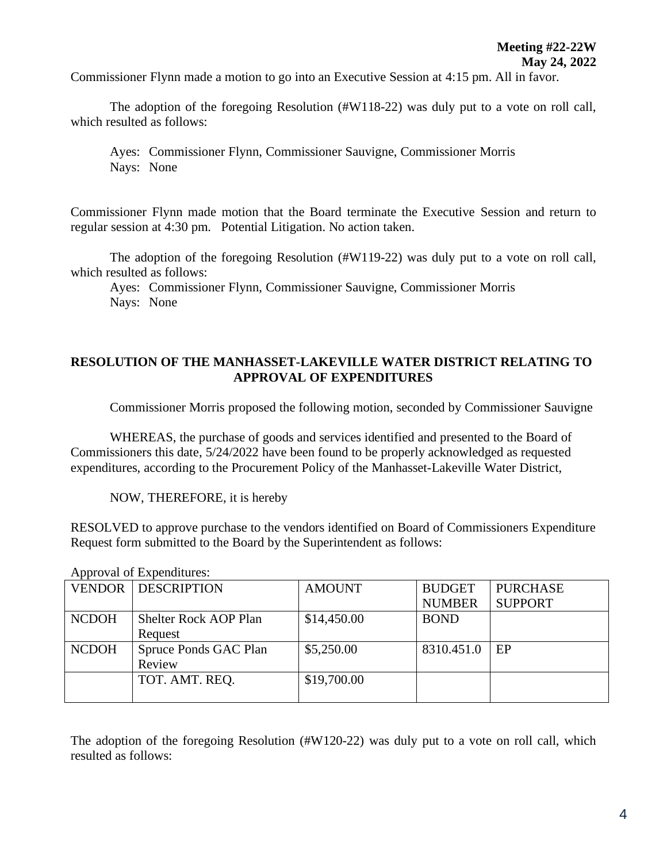Commissioner Flynn made a motion to go into an Executive Session at 4:15 pm. All in favor.

The adoption of the foregoing Resolution (#W118-22) was duly put to a vote on roll call, which resulted as follows:

Ayes: Commissioner Flynn, Commissioner Sauvigne, Commissioner Morris Nays: None

Commissioner Flynn made motion that the Board terminate the Executive Session and return to regular session at 4:30 pm. Potential Litigation. No action taken.

The adoption of the foregoing Resolution (#W119-22) was duly put to a vote on roll call, which resulted as follows:

Ayes: Commissioner Flynn, Commissioner Sauvigne, Commissioner Morris Nays: None

## **RESOLUTION OF THE MANHASSET-LAKEVILLE WATER DISTRICT RELATING TO APPROVAL OF EXPENDITURES**

Commissioner Morris proposed the following motion, seconded by Commissioner Sauvigne

WHEREAS, the purchase of goods and services identified and presented to the Board of Commissioners this date, 5/24/2022 have been found to be properly acknowledged as requested expenditures, according to the Procurement Policy of the Manhasset-Lakeville Water District,

NOW, THEREFORE, it is hereby

RESOLVED to approve purchase to the vendors identified on Board of Commissioners Expenditure Request form submitted to the Board by the Superintendent as follows:

| VENDOR       | <b>DESCRIPTION</b>           | <b>AMOUNT</b> | <b>BUDGET</b> | <b>PURCHASE</b> |
|--------------|------------------------------|---------------|---------------|-----------------|
|              |                              |               | <b>NUMBER</b> | <b>SUPPORT</b>  |
| <b>NCDOH</b> | <b>Shelter Rock AOP Plan</b> | \$14,450.00   | <b>BOND</b>   |                 |
|              | Request                      |               |               |                 |
| <b>NCDOH</b> | Spruce Ponds GAC Plan        | \$5,250.00    | 8310.451.0    | EP              |
|              | Review                       |               |               |                 |
|              | TOT. AMT. REQ.               | \$19,700.00   |               |                 |
|              |                              |               |               |                 |

## Approval of Expenditures:

The adoption of the foregoing Resolution (#W120-22) was duly put to a vote on roll call, which resulted as follows: